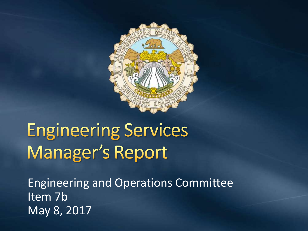

# **Engineering Services Manager's Report**

Engineering and Operations Committee Item 7b May 8, 2017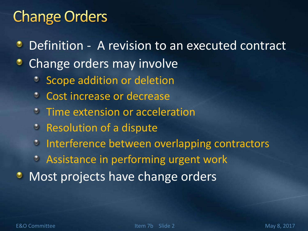## **Change Orders**

- Definition A revision to an executed contract
- Change orders may involve
	- Scope addition or deletion
	- **Cost increase or decrease**
	- **Time extension or acceleration**
	- **Production of a dispute**
	- *C* Interference between overlapping contractors
	- Assistance in performing urgent work
- **Most projects have change orders**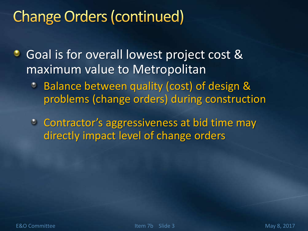# **Change Orders (continued)**

Goal is for overall lowest project cost & ۰ maximum value to Metropolitan

- Balance between quality (cost) of design & Ø problems (change orders) during construction
- **Contractor's aggressiveness at bid time may** directly impact level of change orders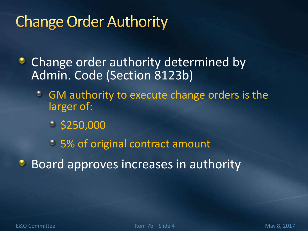# **Change Order Authority**

• Change order authority determined by Admin. Code (Section 8123b)

- GM authority to execute change orders is the larger of:
	- $\degree$  \$250,000
	- 5% of original contract amount

**Board approves increases in authority**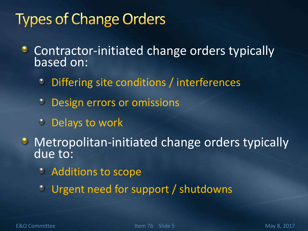# **Types of Change Orders**

- Contractor-initiated change orders typically ۰ based on:
	- Differing site conditions / interferences ٥
	- Design errors or omissions  $\bullet$
	- **<sup>3</sup>** Delays to work
- **Metropolitan-initiated change orders typically** due to:
	- **C** Additions to scope
	- Urgent need for support / shutdownsO.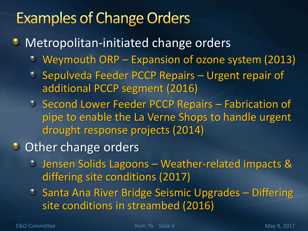# **Examples of Change Orders**

- **Metropolitan-initiated change orders** 
	- Weymouth ORP Expansion of ozone system (2013)
	- **Sepulveda Feeder PCCP Repairs Urgent repair of** additional PCCP segment (2016)
	- **Second Lower Feeder PCCP Repairs Fabrication of** pipe to enable the La Verne Shops to handle urgent drought response projects (2014)
- **Other change orders** 
	- Jensen Solids Lagoons Weather-related impacts & differing site conditions (2017)
	- <sup>2</sup> Santa Ana River Bridge Seismic Upgrades Differing site conditions in streambed (2016)

E&O Committee The Item 7b Slide 6 May 8, 2017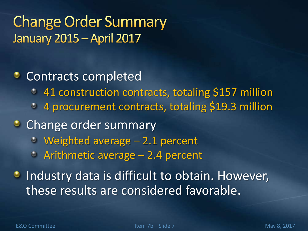### **Change Order Summary January 2015 - April 2017**

#### **Contracts completed**

- 41 construction contracts, totaling \$157 million  $\bullet$
- 4 procurement contracts, totaling \$19.3 million  $\bullet$

#### **Change order summary**

- Weighted average 2.1 percent
- Arithmetic average 2.4 percent

**Industry data is difficult to obtain. However,** these results are considered favorable.